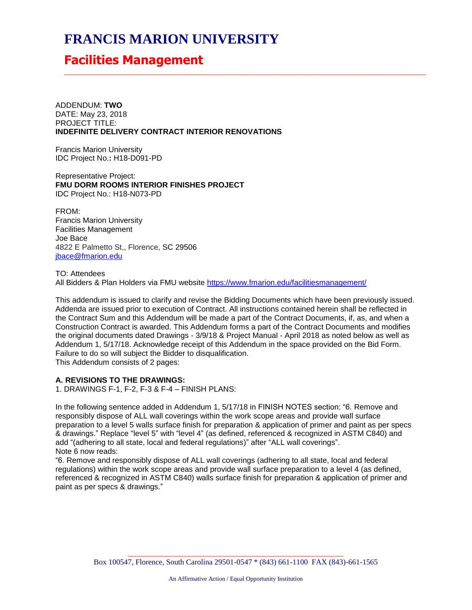# **FRANCIS MARION UNIVERSITY**

## **Facilities Management**

ADDENDUM: **TWO** DATE: May 23, 2018 PROJECT TITLE: **INDEFINITE DELIVERY CONTRACT INTERIOR RENOVATIONS**

Francis Marion University IDC Project No.**:** H18-D091-PD

Representative Project: **FMU DORM ROOMS INTERIOR FINISHES PROJECT** IDC Project No.: H18-N073-PD

FROM: Francis Marion University Facilities Management Joe Bace 4822 E Palmetto St,, Florence, SC 29506 [jbace@fmarion.edu](mailto:jbace@fmarion.edu)

TO: Attendees All Bidders & Plan Holders via FMU website<https://www.fmarion.edu/facilitiesmanagement/>

This addendum is issued to clarify and revise the Bidding Documents which have been previously issued. Addenda are issued prior to execution of Contract. All instructions contained herein shall be reflected in the Contract Sum and this Addendum will be made a part of the Contract Documents, if, as, and when a Construction Contract is awarded. This Addendum forms a part of the Contract Documents and modifies the original documents dated Drawings - 3/9/18 & Project Manual - April 2018 as noted below as well as Addendum 1, 5/17/18. Acknowledge receipt of this Addendum in the space provided on the Bid Form. Failure to do so will subject the Bidder to disqualification. This Addendum consists of 2 pages:

\_\_\_\_\_\_\_\_\_\_\_\_\_\_\_\_\_\_\_\_\_\_\_\_\_\_\_\_\_\_\_\_\_\_\_\_\_\_\_\_\_\_\_\_\_\_\_\_\_\_\_\_\_\_\_\_\_\_\_\_\_\_\_\_\_\_\_\_\_\_\_\_\_\_\_\_\_\_\_\_\_\_\_\_\_\_\_\_\_\_\_\_\_\_

#### **A. REVISIONS TO THE DRAWINGS:**

1. DRAWINGS F-1, F-2, F-3 & F-4 – FINISH PLANS:

In the following sentence added in Addendum 1, 5/17/18 in FINISH NOTES section: "6. Remove and responsibly dispose of ALL wall coverings within the work scope areas and provide wall surface preparation to a level 5 walls surface finish for preparation & application of primer and paint as per specs & drawings." Replace "level 5" with "level 4" (as defined, referenced & recognized in ASTM C840) and add "(adhering to all state, local and federal regulations)" after "ALL wall coverings". Note 6 now reads:

"6. Remove and responsibly dispose of ALL wall coverings (adhering to all state, local and federal regulations) within the work scope areas and provide wall surface preparation to a level 4 (as defined, referenced & recognized in ASTM C840) walls surface finish for preparation & application of primer and paint as per specs & drawings."

> \_\_\_\_\_\_\_\_\_\_\_\_\_\_\_\_\_\_\_\_\_\_\_\_\_\_\_\_\_\_\_\_\_\_\_\_\_\_\_\_\_\_\_\_\_\_\_\_\_\_\_\_\_\_\_\_ Box 100547, Florence, South Carolina 29501-0547 \* (843) 661-1100 FAX (843)-661-1565